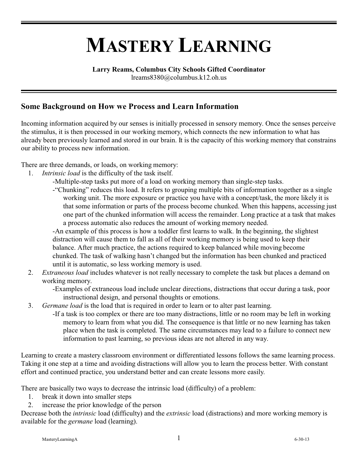# **MASTERY LEARNING**

#### **Larry Reams, Columbus City Schools Gifted Coordinator**

lreams8380@columbus.k12.oh.us

#### **Some Background on How we Process and Learn Information**

Incoming information acquired by our senses is initially processed in sensory memory. Once the senses perceive the stimulus, it is then processed in our working memory, which connects the new information to what has already been previously learned and stored in our brain. It is the capacity of this working memory that constrains our ability to process new information.

There are three demands, or loads, on working memory:

- 1. *Intrinsic load* is the difficulty of the task itself.
	- -Multiple-step tasks put more of a load on working memory than single-step tasks.
	- -"Chunking" reduces this load. It refers to grouping multiple bits of information together as a single working unit. The more exposure or practice you have with a concept/task, the more likely it is that some information or parts of the process become chunked. When this happens, accessing just one part of the chunked information will access the remainder. Long practice at a task that makes a process automatic also reduces the amount of working memory needed.

-An example of this process is how a toddler first learns to walk. In the beginning, the slightest distraction will cause them to fall as all of their working memory is being used to keep their balance. After much practice, the actions required to keep balanced while moving become chunked. The task of walking hasn't changed but the information has been chunked and practiced until it is automatic, so less working memory is used.

- 2. *Extraneous load* includes whatever is not really necessary to complete the task but places a demand on working memory.
	- -Examples of extraneous load include unclear directions, distractions that occur during a task, poor instructional design, and personal thoughts or emotions.
- 3. *Germane load* is the load that is required in order to learn or to alter past learning.
	- -If a task is too complex or there are too many distractions, little or no room may be left in working memory to learn from what you did. The consequence is that little or no new learning has taken place when the task is completed. The same circumstances may lead to a failure to connect new information to past learning, so previous ideas are not altered in any way.

Learning to create a mastery classroom environment or differentiated lessons follows the same learning process. Taking it one step at a time and avoiding distractions will allow you to learn the process better. With constant effort and continued practice, you understand better and can create lessons more easily.

There are basically two ways to decrease the intrinsic load (difficulty) of a problem:

- 1. break it down into smaller steps
- 2. increase the prior knowledge of the person

Decrease both the *intrinsic* load (difficulty) and the *extrinsic* load (distractions) and more working memory is available for the *germane* load (learning).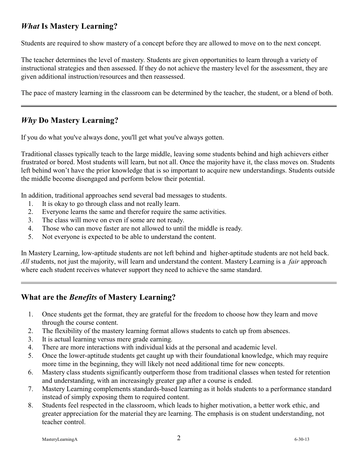### *What* **Is Mastery Learning?**

Students are required to show mastery of a concept before they are allowed to move on to the next concept.

The teacher determines the level of mastery. Students are given opportunities to learn through a variety of instructional strategies and then assessed. If they do not achieve the mastery level for the assessment, they are given additional instruction/resources and then reassessed.

The pace of mastery learning in the classroom can be determined by the teacher, the student, or a blend of both.

#### *Why* **Do Mastery Learning?**

If you do what you've always done, you'll get what you've always gotten.

Traditional classes typically teach to the large middle, leaving some students behind and high achievers either frustrated or bored. Most students will learn, but not all. Once the majority have it, the class moves on. Students left behind won't have the prior knowledge that is so important to acquire new understandings. Students outside the middle become disengaged and perform below their potential.

In addition, traditional approaches send several bad messages to students.

- 1. It is okay to go through class and not really learn.
- 2. Everyone learns the same and therefor require the same activities.
- 3. The class will move on even if some are not ready.
- 4. Those who can move faster are not allowed to until the middle is ready.
- 5. Not everyone is expected to be able to understand the content.

In Mastery Learning, low-aptitude students are not left behind and higher-aptitude students are not held back. *All* students, not just the majority, will learn and understand the content. Mastery Learning is a *fair* approach where each student receives whatever support they need to achieve the same standard.

#### **What are the** *Benefits* **of Mastery Learning?**

- 1. Once students get the format, they are grateful for the freedom to choose how they learn and move through the course content.
- 2. The flexibility of the mastery learning format allows students to catch up from absences.
- 3. It is actual learning versus mere grade earning.
- 4. There are more interactions with individual kids at the personal and academic level.
- 5. Once the lower-aptitude students get caught up with their foundational knowledge, which may require more time in the beginning, they will likely not need additional time for new concepts.
- 6. Mastery class students significantly outperform those from traditional classes when tested for retention and understanding, with an increasingly greater gap after a course is ended.
- 7. Mastery Learning complements standards-based learning as it holds students to a performance standard instead of simply exposing them to required content.
- 8. Students feel respected in the classroom, which leads to higher motivation, a better work ethic, and greater appreciation for the material they are learning. The emphasis is on student understanding, not teacher control.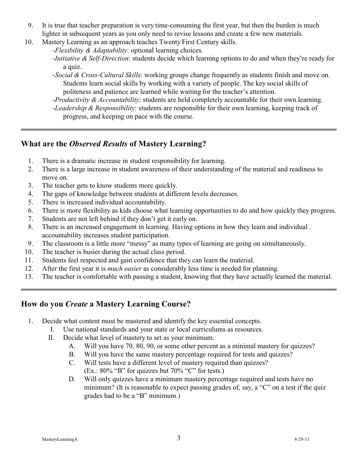- 9. It is true that teacher preparation is very time-consuming the first year, but then the burden is much lighter in subsequent years as you only need to revise lessons and create a few new materials.
- 10. Mastery Learning as an approach teaches Twenty First Century skills.
	- -*Flexibility & Adaptability*: optional learning choices.
	- -*Initiative & Self-Direction*: students decide which learning options to do and when they're ready for a quiz.
	- -*Social & Cross-Cultural Skills*: working groups change frequently as students finish and move on. Students learn social skills by working with a variety of people. The key social skills of politeness and patience are learned while waiting for the teacher's attention.
	- -*Productivity & Accountability*: students are held completely accountable for their own learning. -*Leadership & Responsibility*: students are responsible for their own learning, keeping track of
		- progress, and keeping on pace with the course.

#### **What are the** *Observed Results* **of Mastery Learning?**

- 1. There is a dramatic increase in student responsibility for learning.
- 2. There is a large increase in student awareness of their understanding of the material and readiness to move on.
- 3. The teacher gets to know students more quickly.
- 4. The gaps of knowledge between students at different levels decreases.
- 5. There is increased individual accountability.
- 6. There is more flexibility as kids choose what learning opportunities to do and how quickly they progress.
- 7. Students are not left behind if they don't get it early on.
- 8. There is an increased engagement in learning. Having options in how they learn and individual . accountability increases student participation.
- 9. The classroom is a little more "messy" as many types of learning are going on simultaneously.
- 10. The teacher is busier during the actual class period.
- 11. Students feel respected and gain confidence that they can learn the material.
- 12. After the first year it is *much easier* as considerably less time is needed for planning.
- 13. The teacher is comfortable with passing a student, knowing that they have actually learned the material.

### **How do you** *Create* **a Mastery Learning Course?**

- 1. Decide what content must be mastered and identify the key essential concepts.
	- I. Use national standards and your state or local curriculums as resources.
	- II. Decide what level of mastery to set as your minimum.
		- A. Will you have 70, 80, 90, or some other percent as a minimal mastery for quizzes?
		- B. Will you have the same mastery percentage required for tests and quizzes?
		- C. Will tests have a different level of mastery required than quizzes?
			- $(Ex.: 80\%$  "B" for quizzes but 70% "C" for tests.)
		- D. Will only quizzes have a minimum mastery percentage required and tests have no minimum? (It is reasonable to expect passing grades of, say, a "C" on a test if the quiz grades had to be a "B" minimum.)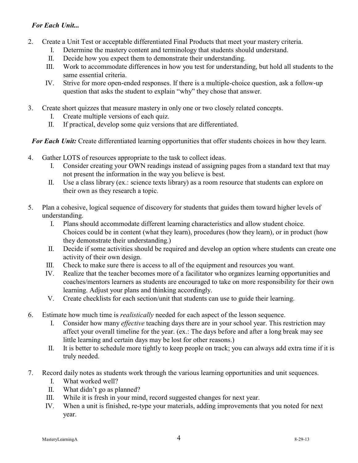#### *For Each Unit...*

- 2. Create a Unit Test or acceptable differentiated Final Products that meet your mastery criteria.
	- I. Determine the mastery content and terminology that students should understand.
	- II. Decide how you expect them to demonstrate their understanding.
	- III. Work to accommodate differences in how you test for understanding, but hold all students to the same essential criteria.
	- IV. Strive for more open-ended responses. If there is a multiple-choice question, ask a follow-up question that asks the student to explain "why" they chose that answer.
- 3. Create short quizzes that measure mastery in only one or two closely related concepts.
	- I. Create multiple versions of each quiz.
	- II. If practical, develop some quiz versions that are differentiated.

*For Each Unit:* Create differentiated learning opportunities that offer students choices in how they learn.

- 4. Gather LOTS of resources appropriate to the task to collect ideas.
	- I. Consider creating your OWN readings instead of assigning pages from a standard text that may not present the information in the way you believe is best.
	- II. Use a class library (ex.: science texts library) as a room resource that students can explore on their own as they research a topic.
- 5. Plan a cohesive, logical sequence of discovery for students that guides them toward higher levels of understanding.
	- I. Plans should accommodate different learning characteristics and allow student choice. Choices could be in content (what they learn), procedures (how they learn), or in product (how they demonstrate their understanding.)
	- II. Decide if some activities should be required and develop an option where students can create one activity of their own design.
	- III. Check to make sure there is access to all of the equipment and resources you want.
	- IV. Realize that the teacher becomes more of a facilitator who organizes learning opportunities and coaches/mentors learners as students are encouraged to take on more responsibility for their own learning. Adjust your plans and thinking accordingly.
	- V. Create checklists for each section/unit that students can use to guide their learning.
- 6. Estimate how much time is *realistically* needed for each aspect of the lesson sequence.
	- I. Consider how many *effective* teaching days there are in your school year. This restriction may affect your overall timeline for the year. (ex.: The days before and after a long break may see little learning and certain days may be lost for other reasons.)
	- II. It is better to schedule more tightly to keep people on track; you can always add extra time if it is truly needed.
- 7. Record daily notes as students work through the various learning opportunities and unit sequences.
	- I. What worked well?
	- II. What didn't go as planned?
	- III. While it is fresh in your mind, record suggested changes for next year.
	- IV. When a unit is finished, re-type your materials, adding improvements that you noted for next year.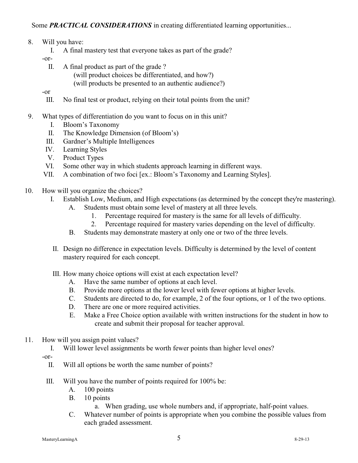Some **PRACTICAL CONSIDERATIONS** in creating differentiated learning opportunities...

- 8. Will you have:
	- I. A final mastery test that everyone takes as part of the grade?

-or-

- II. A final product as part of the grade ?
	- (will product choices be differentiated, and how?)
	- (will products be presented to an authentic audience?)

-or

- III. No final test or product, relying on their total points from the unit?
- 9. What types of differentiation do you want to focus on in this unit?
	- I. Bloom's Taxonomy
	- II. The Knowledge Dimension (of Bloom's)
	- III. Gardner's Multiple Intelligences
	- IV. Learning Styles
	- V. Product Types
	- VI. Some other way in which students approach learning in different ways.
	- VII. A combination of two foci [ex.: Bloom's Taxonomy and Learning Styles].
- 10. How will you organize the choices?
	- I. Establish Low, Medium, and High expectations (as determined by the concept they're mastering).
		- A. Students must obtain some level of mastery at all three levels.
			- 1. Percentage required for mastery is the same for all levels of difficulty.
			- 2. Percentage required for mastery varies depending on the level of difficulty.
		- B. Students may demonstrate mastery at only one or two of the three levels.
	- II. Design no difference in expectation levels. Difficulty is determined by the level of content mastery required for each concept.
	- III. How many choice options will exist at each expectation level?
		- A. Have the same number of options at each level.
		- B. Provide more options at the lower level with fewer options at higher levels.
		- C. Students are directed to do, for example, 2 of the four options, or 1 of the two options.
		- D. There are one or more required activities.
		- E. Make a Free Choice option available with written instructions for the student in how to create and submit their proposal for teacher approval.
- 11. How will you assign point values?
	- I. Will lower level assignments be worth fewer points than higher level ones?

-or-

- II. Will all options be worth the same number of points?
- III. Will you have the number of points required for 100% be:
	- A. 100 points
	- B. 10 points
		- a. When grading, use whole numbers and, if appropriate, half-point values.
	- C. Whatever number of points is appropriate when you combine the possible values from each graded assessment.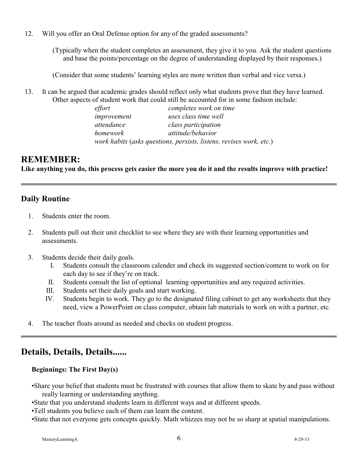12. Will you offer an Oral Defense option for any of the graded assessments?

(Typically when the student completes an assessment, they give it to you. Ask the student questions and base the points/percentage on the degree of understanding displayed by their responses.)

(Consider that some students' learning styles are more written than verbal and vice versa.)

13. It can be argued that academic grades should reflect only what students prove that they have learned. Other aspects of student work that could still be accounted for in some fashion include:

| effort      | completes work on time                                              |
|-------------|---------------------------------------------------------------------|
| improvement | uses class time well                                                |
| attendance  | class participation                                                 |
| homework    | attitude/behavior                                                   |
|             | work habits (asks questions, persists, listens, revises work, etc.) |

#### **REMEMBER:**

**Like anything you do, this process gets easier the more you do it and the results improve with practice!**

#### **Daily Routine**

- 1. Students enter the room.
- 2. Students pull out their unit checklist to see where they are with their learning opportunities and assessments.
- 3. Students decide their daily goals.
	- I. Students consult the classroom calender and check its suggested section/content to work on for each day to see if they're on track.
	- II. Students consult the list of optional learning opportunities and any required activities.
	- III. Students set their daily goals and start working.
	- IV. Students begin to work. They go to the designated filing cabinet to get any worksheets that they need, view a PowerPoint on class computer, obtain lab materials to work on with a partner, etc.
- 4. The teacher floats around as needed and checks on student progress.

## **Details, Details, Details......**

#### **Beginnings: The First Day(s)**

- •Share your belief that students must be frustrated with courses that allow them to skate by and pass without really learning or understanding anything.
- •State that you understand students learn in different ways and at different speeds.
- •Tell students you believe each of them can learn the content.
- •State that not everyone gets concepts quickly. Math whizzes may not be so sharp at spatial manipulations.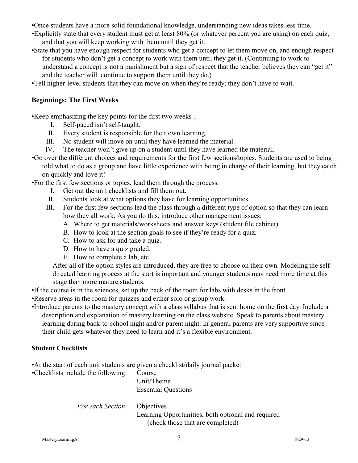- •Once students have a more solid foundational knowledge, understanding new ideas takes less time.
- •Explicitly state that every student must get at least 80% (or whatever percent you are using) on each quiz, and that you will keep working with them until they get it.
- •State that you have enough respect for students who get a concept to let them move on, and enough respect for students who don't get a concept to work with them until they get it. (Continuing to work to understand a concept is not a punishment but a sign of respect that the teacher believes they can "get it" and the teacher will continue to support them until they do.)
- •Tell higher-level students that they can move on when they're ready; they don't have to wait.

#### **Beginnings: The First Weeks**

•Keep emphasizing the key points for the first two weeks .

- I. Self-paced isn't self-taught.
- II. Every student is responsible for their own learning.
- III. No student will move on until they have learned the material.
- IV. The teacher won't give up on a student until they have learned the material.
- •Go over the different choices and requirements for the first few sections/topics. Students are used to being told what to do as a group and have little experience with being in charge of their learning, but they catch on quickly and love it!

•For the first few sections or topics, lead them through the process.

- I. Get out the unit checklists and fill them out.
- II. Students look at what options they have for learning opportunities.
- III. For the first few sections lead the class through a different type of option so that they can learn how they all work. As you do this, introduce other management issues:
	- A. Where to get materials/worksheets and answer keys (student file cabinet).
	- B. How to look at the section goals to see if they're ready for a quiz.
	- C. How to ask for and take a quiz.
	- D. How to have a quiz graded.
	- E. How to complete a lab, etc.

After all of the option styles are introduced, they are free to choose on their own. Modeling the selfdirected learning process at the start is important and younger students may need more time at this stage than more mature students.

•If the course is in the sciences, set up the back of the room for labs with desks in the front.

•Reserve areas in the room for quizzes and either solo or group work.

•Introduce parents to the mastery concept with a class syllabus that is sent home on the first day. Include a description and explanation of mastery learning on the class website. Speak to parents about mastery learning during back-to-school night and/or parent night. In general parents are very supportive since their child gets whatever they need to learn and it's a flexible environment.

#### **Student Checklists**

•At the start of each unit students are given a checklist/daily journal packet.

•Checklists include the following: Course

Unit/Theme Essential Questions

*For each Section*: Objectives

Learning Opportunities, both optional and required (check those that are completed)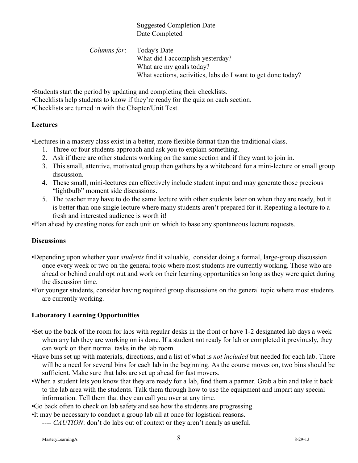#### Suggested Completion Date Date Completed

 *Columns for*: Today's Date What did I accomplish yesterday? What are my goals today? What sections, activities, labs do I want to get done today?

•Students start the period by updating and completing their checklists.

- •Checklists help students to know if they're ready for the quiz on each section.
- •Checklists are turned in with the Chapter/Unit Test.

#### **Lectures**

•Lectures in a mastery class exist in a better, more flexible format than the traditional class.

- 1. Three or four students approach and ask you to explain something.
- 2. Ask if there are other students working on the same section and if they want to join in.
- 3. This small, attentive, motivated group then gathers by a whiteboard for a mini-lecture or small group discussion.
- 4. These small, mini-lectures can effectively include student input and may generate those precious "lightbulb" moment side discussions.
- 5. The teacher may have to do the same lecture with other students later on when they are ready, but it is better than one single lecture where many students aren't prepared for it. Repeating a lecture to a fresh and interested audience is worth it!

•Plan ahead by creating notes for each unit on which to base any spontaneous lecture requests.

#### **Discussions**

- •Depending upon whether your *students* find it valuable, consider doing a formal, large-group discussion once every week or two on the general topic where most students are currently working. Those who are ahead or behind could opt out and work on their learning opportunities so long as they were quiet during the discussion time.
- •For younger students, consider having required group discussions on the general topic where most students are currently working.

#### **Laboratory Learning Opportunities**

- •Set up the back of the room for labs with regular desks in the front or have 1-2 designated lab days a week when any lab they are working on is done. If a student not ready for lab or completed it previously, they can work on their normal tasks in the lab room
- •Have bins set up with materials, directions, and a list of what is *not included* but needed for each lab. There will be a need for several bins for each lab in the beginning. As the course moves on, two bins should be sufficient. Make sure that labs are set up ahead for fast movers.
- •When a student lets you know that they are ready for a lab, find them a partner. Grab a bin and take it back to the lab area with the students. Talk them through how to use the equipment and impart any special information. Tell them that they can call you over at any time.
- •Go back often to check on lab safety and see how the students are progressing.
- •It may be necessary to conduct a group lab all at once for logistical reasons.
	- ---- *CAUTION*: don't do labs out of context or they aren't nearly as useful.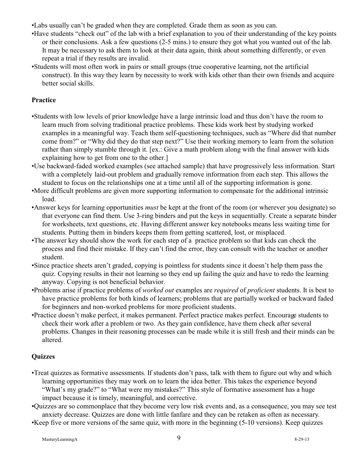- •Labs usually can't be graded when they are completed. Grade them as soon as you can.
- •Have students "check out" of the lab with a brief explanation to you of their understanding of the key points or their conclusions. Ask a few questions (2-5 mins.) to ensure they got what you wanted out of the lab. It may be necessary to ask them to look at their data again, think about something differently, or even repeat a trial if they results are invalid.
- •Students will most often work in pairs or small groups (true cooperative learning, not the artificial construct). In this way they learn by necessity to work with kids other than their own friends and acquire better social skills.

#### **Practice**

- •Students with low levels of prior knowledge have a large intrinsic load and thus don't have the room to learn much from solving traditional practice problems. These kids work best by studying worked examples in a meaningful way. Teach them self-questioning techniques, such as "Where did that number come from?" or "Why did they do that step next?" Use their working memory to learn from the solution rather than simply stumble through it. [ex.: Give a math problem along with the final answer with kids explaining how to get from one to the other.]
- •Use backward-faded worked examples (see attached sample) that have progressively less information. Start with a completely laid-out problem and gradually remove information from each step. This allows the student to focus on the relationships one at a time until all of the supporting information is gone.
- •More difficult problems are given more supporting information to compensate for the additional intrinsic load.
- •Answer keys for learning opportunities *must* be kept at the front of the room (or wherever you designate) so that everyone can find them. Use 3-ring binders and put the keys in sequentially. Create a separate binder for worksheets, text questions, etc. Having different answer key notebooks means less waiting time for students. Putting them in binders keeps them from getting scattered, lost, or misplaced.
- •The answer key should show the work for each step of a practice problem so that kids can check the process and find their mistake. If they can't find the error, they can consult with the teacher or another student.
- •Since practice sheets aren't graded, copying is pointless for students since it doesn't help them pass the quiz. Copying results in their not learning so they end up failing the quiz and have to redo the learning anyway. Copying is not beneficial behavior.
- •Problems arise if practice problems of *worked out* examples are *required* of *proficient* students. It is best to have practice problems for both kinds of learners; problems that are partially worked or backward faded for beginners and non-worked problems for more proficient students.
- •Practice doesn't make perfect, it makes permanent. Perfect practice makes perfect. Encourage students to check their work after a problem or two. As they gain confidence, have them check after several problems. Changes in their reasoning processes can be made while it is still fresh and their minds can be altered.

#### **Quizzes**

- •Treat quizzes as formative assessments. If students don't pass, talk with them to figure out why and which learning opportunities they may work on to learn the idea better. This takes the experience beyond "What's my grade?" to "What were my mistakes?" This style of formative assessment has a huge impact because it is timely, meaningful, and corrective.
- •Quizzes are so commonplace that they become very low risk events and, as a consequence, you may see test anxiety decrease. Quizzes are done with little fanfare and they can be retaken as often as necessary.

•Keep five or more versions of the same quiz, with more in the beginning (5-10 versions). Keep quizzes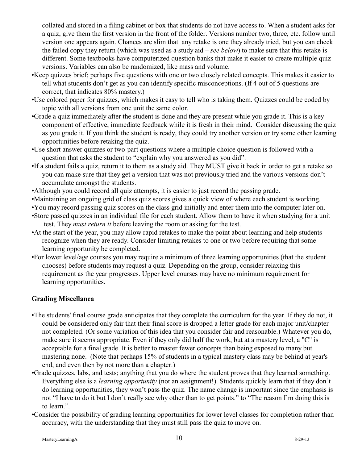collated and stored in a filing cabinet or box that students do not have access to. When a student asks for a quiz, give them the first version in the front of the folder. Versions number two, three, etc. follow until version one appears again. Chances are slim that any retake is one they already tried, but you can check the failed copy they return (which was used as a study aid – *see below*) to make sure that this retake is different. Some textbooks have computerized question banks that make it easier to create multiple quiz versions. Variables can also be randomized, like mass and volume.

- •Keep quizzes brief; perhaps five questions with one or two closely related concepts. This makes it easier to tell what students don't get as you can identify specific misconceptions. (If 4 out of 5 questions are correct, that indicates 80% mastery.)
- •Use colored paper for quizzes, which makes it easy to tell who is taking them. Quizzes could be coded by topic with all versions from one unit the same color.
- •Grade a quiz immediately after the student is done and they are present while you grade it. This is a key component of effective, immediate feedback while it is fresh in their mind. Consider discussing the quiz as you grade it. If you think the student is ready, they could try another version or try some other learning opportunities before retaking the quiz.
- •Use short answer quizzes or two-part questions where a multiple choice question is followed with a question that asks the student to "explain why you answered as you did".
- •If a student fails a quiz, return it to them as a study aid. They MUST give it back in order to get a retake so you can make sure that they get a version that was not previously tried and the various versions don't accumulate amongst the students.
- •Although you could record all quiz attempts, it is easier to just record the passing grade.
- •Maintaining an ongoing grid of class quiz scores gives a quick view of where each student is working.
- •You may record passing quiz scores on the class grid initially and enter them into the computer later on.
- •Store passed quizzes in an individual file for each student. Allow them to have it when studying for a unit test. They *must return it* before leaving the room or asking for the test.
- •At the start of the year, you may allow rapid retakes to make the point about learning and help students recognize when they are ready. Consider limiting retakes to one or two before requiring that some learning opportunity be completed.
- •For lower level/age courses you may require a minimum of three learning opportunities (that the student chooses) before students may request a quiz. Depending on the group, consider relaxing this requirement as the year progresses. Upper level courses may have no minimum requirement for learning opportunities.

#### **Grading Miscellanea**

- •The students' final course grade anticipates that they complete the curriculum for the year. If they do not, it could be considered only fair that their final score is dropped a letter grade for each major unit/chapter not completed. (Or some variation of this idea that you consider fair and reasonable.) Whatever you do, make sure it seems appropriate. Even if they only did half the work, but at a mastery level, a "C" is acceptable for a final grade. It is better to master fewer concepts than being exposed to many but mastering none. (Note that perhaps 15% of students in a typical mastery class may be behind at year's end, and even then by not more than a chapter.)
- •Grade quizzes, labs, and tests; anything that you do where the student proves that they learned something. Everything else is a *learning opportunity* (not an assignment!). Students quickly learn that if they don't do learning opportunities, they won't pass the quiz. The name change is important since the emphasis is not "I have to do it but I don't really see why other than to get points." to "The reason I'm doing this is to learn.".
- •Consider the possibility of grading learning opportunities for lower level classes for completion rather than accuracy, with the understanding that they must still pass the quiz to move on.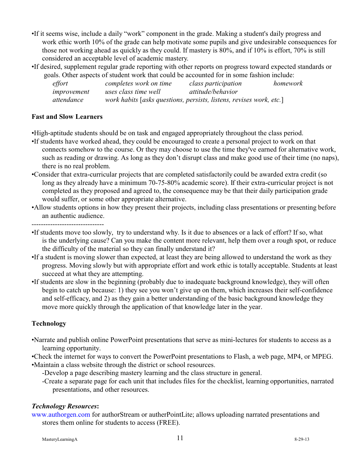- •If it seems wise, include a daily "work" component in the grade. Making a student's daily progress and work ethic worth 10% of the grade can help motivate some pupils and give undesirable consequences for those not working ahead as quickly as they could. If mastery is 80%, and if 10% is effort, 70% is still considered an acceptable level of academic mastery.
- •If desired, supplement regular grade reporting with other reports on progress toward expected standards or goals. Other aspects of student work that could be accounted for in some fashion include:

| effort      | completes work on time                                              | class participation | homework |
|-------------|---------------------------------------------------------------------|---------------------|----------|
| improvement | uses class time well                                                | attitude/behavior   |          |
| attendance  | work habits [asks questions, persists, listens, revises work, etc.] |                     |          |

#### **Fast and Slow Learners**

•High-aptitude students should be on task and engaged appropriately throughout the class period.

- •If students have worked ahead, they could be encouraged to create a personal project to work on that connects somehow to the course. Or they may choose to use the time they've earned for alternative work, such as reading or drawing. As long as they don't disrupt class and make good use of their time (no naps), there is no real problem.
- •Consider that extra-curricular projects that are completed satisfactorily could be awarded extra credit (so long as they already have a minimum 70-75-80% academic score). If their extra-curricular project is not completed as they proposed and agreed to, the consequence may be that their daily participation grade would suffer, or some other appropriate alternative.
- •Allow students options in how they present their projects, including class presentations or presenting before an authentic audience.

-------------------------------

- •If students move too slowly, try to understand why. Is it due to absences or a lack of effort? If so, what is the underlying cause? Can you make the content more relevant, help them over a rough spot, or reduce the difficulty of the material so they can finally understand it?
- •If a student is moving slower than expected, at least they are being allowed to understand the work as they progress. Moving slowly but with appropriate effort and work ethic is totally acceptable. Students at least succeed at what they are attempting.
- •If students are slow in the beginning (probably due to inadequate background knowledge), they will often begin to catch up because: 1) they see you won't give up on them, which increases their self-confidence and self-efficacy, and 2) as they gain a better understanding of the basic background knowledge they move more quickly through the application of that knowledge later in the year.

#### **Technology**

- •Narrate and publish online PowerPoint presentations that serve as mini-lectures for students to access as a learning opportunity.
- •Check the internet for ways to convert the PowerPoint presentations to Flash, a web page, MP4, or MPEG.

•Maintain a class website through the district or school resources.

-Develop a page describing mastery learning and the class structure in general.

-Create a separate page for each unit that includes files for the checklist, learning opportunities, narrated presentations, and other resources.

#### *Technology Resources***:**

[www.authorgen.com](http://www.authorgen.com) for authorStream or autherPointLite; allows uploading narrated presentations and stores them online for students to access (FREE).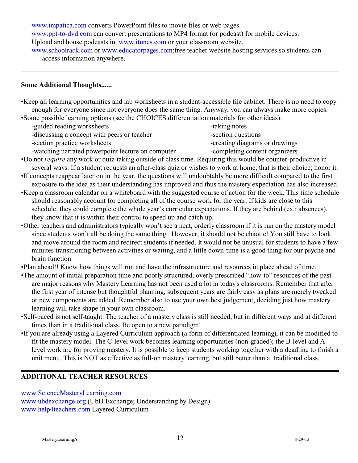www.impatica.com converts PowerPoint files to movie files or web pages.

[www.ppt-to-dvd.com](http://www.ppt-to-dvd.com) can convert presentations to MP4 format (or podcast) for mobile devices.

[Upload and house podcasts](http://www.itunes.com) in www.itunes.com or your classroom website.

[www.schoolrack.com](http://www.schoolrack.com) or www.educatorpages.com;free teacher website hosting services so students can access information anywhere.

#### **Some Additional Thoughts......**

•Keep all learning opportunities and lab worksheets in a student-accessible file cabinet. There is no need to copy enough for everyone since not everyone does the same thing. Anyway, you can always make more copies.

•Some possible learning options (see the CHOICES differentiation materials for other ideas):

-guided reading worksheets  $-$ taking notes

-discussing a concept with peers or teacher -section questions

-section practice worksheets  $\blacksquare$ 

- 
- -watching narrated powerpoint lecture on computer -completing content organizers
- •Do not *require* any work or quiz-taking outside of class time. Requiring this would be counter-productive in several ways. If a student requests an after-class quiz or wishes to work at home, that is their choice; honor it.
- •If concepts reappear later on in the year, the questions will undoubtably be more difficult compared to the first exposure to the idea as their understanding has improved and thus the mastery expectation has also increased.
- •Keep a classroom calendar on a whiteboard with the suggested course of action for the week. This time schedule should reasonably account for completing all of the course work for the year. If kids are close to this schedule, they could complete the whole year's curricular expectations. If they are behind (ex.: absences), they know that it is within their control to speed up and catch up.
- •Other teachers and administrators typically won't see a neat, orderly classroom if it is run on the mastery model since students won't all be doing the same thing. However, it should not be chaotic! You still have to look and move around the room and redirect students if needed. It would not be unusual for students to have a few minutes transitioning between activities or waiting, and a little down-time is a good thing for our psyche and brain function.

•Plan ahead!! Know how things will run and have the infrastructure and resources in place ahead of time.

- •The amount of initial preparation time and poorly structured, overly prescribed "how-to" resources of the past are major reasons why Mastery Learning has not been used a lot in today's classrooms. Remember that after the first year of intense but thoughtful planning, subsequent years are fairly easy as plans are merely tweaked or new components are added. Remember also to use your own best judgement, deciding just how mastery learning will take shape in your own classroom.
- •Self-paced is not self-taught. The teacher of a mastery class is still needed, but in different ways and at different times than in a traditional class. Be open to a new paradigm!
- •If you are already using a Layered Curriculum approach (a form of differentiated learning), it can be modified to fit the mastery model. The C-level work becomes learning opportunities (non-graded); the B-level and Alevel work are for proving mastery. It is possible to keep students working together with a deadline to finish a unit menu. This is NOT as effective as full-on mastery learning, but still better than a traditional class.

#### **ADDITIONAL TEACHER RESOURCES**

[www.ScienceMasteryLearning.com](http://www.ScienceMasteryLearning.com)

[www.ubdexchange.org](http://www.ubdexchange.org) (UbD Exchange; Understanding by Design) [www.help4teachers.com](http://www.help4teachers.com) Layered Curriculum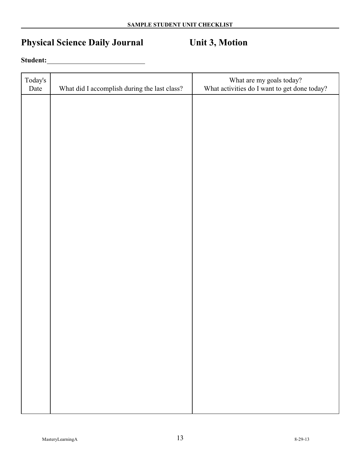# **Physical Science Daily Journal Unit 3, Motion**

#### **Student:**

| Today's<br>Date | What did I accomplish during the last class? | What are my goals today?<br>What activities do I want to get done today? |
|-----------------|----------------------------------------------|--------------------------------------------------------------------------|
|                 |                                              |                                                                          |
|                 |                                              |                                                                          |
|                 |                                              |                                                                          |
|                 |                                              |                                                                          |
|                 |                                              |                                                                          |
|                 |                                              |                                                                          |
|                 |                                              |                                                                          |
|                 |                                              |                                                                          |
|                 |                                              |                                                                          |
|                 |                                              |                                                                          |
|                 |                                              |                                                                          |
|                 |                                              |                                                                          |
|                 |                                              |                                                                          |
|                 |                                              |                                                                          |
|                 |                                              |                                                                          |
|                 |                                              |                                                                          |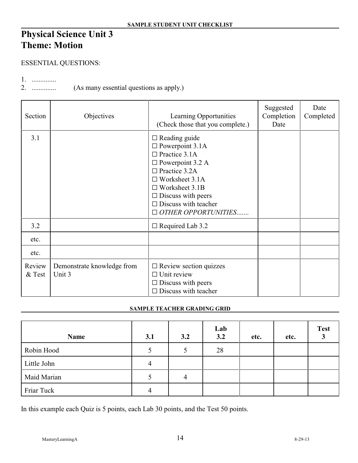# **Physical Science Unit 3 Theme: Motion**

#### ESSENTIAL QUESTIONS:

1. ..............

2. .............. (As many essential questions as apply.)

| Section            | Objectives                           | Learning Opportunities<br>(Check those that you complete.)                                                                                                                                                                                                                  | Suggested<br>Completion<br>Date | Date<br>Completed |
|--------------------|--------------------------------------|-----------------------------------------------------------------------------------------------------------------------------------------------------------------------------------------------------------------------------------------------------------------------------|---------------------------------|-------------------|
| 3.1                |                                      | $\Box$ Reading guide<br>$\square$ Powerpoint 3.1A<br>$\Box$ Practice 3.1A<br>$\square$ Powerpoint 3.2 A<br>$\Box$ Practice 3.2A<br>$\Box$ Worksheet 3.1A<br>$\Box$ Worksheet 3.1B<br>$\Box$ Discuss with peers<br>$\Box$ Discuss with teacher<br>$\Box$ OTHER OPPORTUNITIES |                                 |                   |
| 3.2                |                                      | $\Box$ Required Lab 3.2                                                                                                                                                                                                                                                     |                                 |                   |
| etc.               |                                      |                                                                                                                                                                                                                                                                             |                                 |                   |
| etc.               |                                      |                                                                                                                                                                                                                                                                             |                                 |                   |
| Review<br>$&$ Test | Demonstrate knowledge from<br>Unit 3 | $\Box$ Review section quizzes<br>$\Box$ Unit review<br>$\Box$ Discuss with peers<br>$\Box$ Discuss with teacher                                                                                                                                                             |                                 |                   |

#### **SAMPLE TEACHER GRADING GRID**

| Name        | 3.1 | 3.2 | Lab<br>3.2 | etc. | etc. | <b>Test</b> |
|-------------|-----|-----|------------|------|------|-------------|
| Robin Hood  |     |     | 28         |      |      |             |
| Little John | 4   |     |            |      |      |             |
| Maid Marian |     | 4   |            |      |      |             |
| Friar Tuck  | 4   |     |            |      |      |             |

In this example each Quiz is 5 points, each Lab 30 points, and the Test 50 points.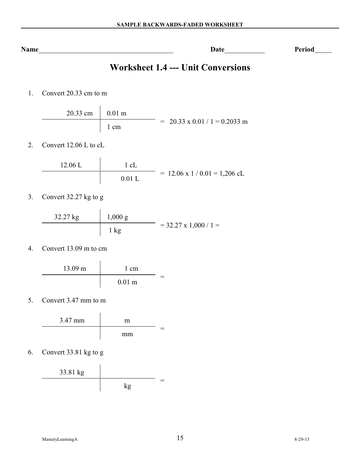| $\sim$ $\sim$<br>N<br>$\sim$ 0 m $\sim$<br>. и<br>110112 | <br>. | $- - - - -$<br>_____ |
|----------------------------------------------------------|-------|----------------------|
|                                                          |       |                      |

# **Worksheet 1.4 --- Unit Conversions**

1. Convert 20.33 cm to m

| $20.33$ cm $\vert$ 0.01 m |      |                                      |
|---------------------------|------|--------------------------------------|
|                           | 1 cm | $= 20.33 \times 0.01 / 1 = 0.2033$ m |

2. Convert 12.06 L to cL

12.06 L 1 cL = 12.06 x 1 / 0.01 = 1,206 cL 0.01 L 

3. Convert 32.27 kg to g

| $32.27 \text{ kg}$ | $1,000 \text{ g}$ |                         |
|--------------------|-------------------|-------------------------|
|                    | 1 kg              | $=$ 32.27 x 1,000 / 1 = |

4. Convert 13.09 m to cm

$$
\begin{array}{c|c}\n 13.09 \text{ m} & 1 \text{ cm} \\
\hline\n 0.01 \text{ m}\n \end{array}
$$

5. Convert 3.47 mm to m

$$
\begin{array}{c|c}\n 3.47 \text{ mm} & \text{m} \\
\hline\n \text{mm} & \text{mm}\n\end{array}
$$

6. Convert 33.81 kg to g